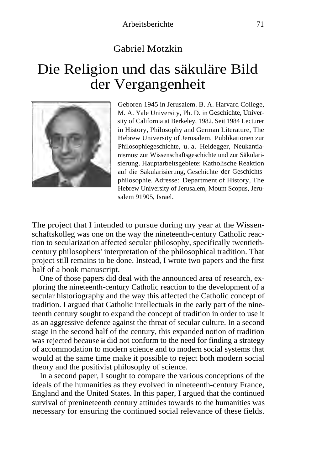## Gabriel Motzkin

## Die Religion und das säkuläre Bild der Vergangenheit



Geboren 1945 in Jerusalem. B. A. Harvard College, M. A. Yale University, Ph. D. in Geschichte, University of California at Berkeley, 1982. Seit 1984 Lecturer in History, Philosophy and German Literature, The Hebrew University of Jerusalem. Publikationen zur Philosophiegeschichte, u. a. Heidegger, Neukantianismus; zur Wissenschaftsgeschichte und zur Säkularisierung. Hauptarbeitsgebiete: Katholische Reaktion auf die Säkularisierung, Geschichte der Geschichtsphilosophie. Adresse: Department of History, The Hebrew University of Jerusalem, Mount Scopus, Jerusalem 91905, Israel.

The project that I intended to pursue during my year at the Wissenschaftskolleg was one on the way the nineteenth-century Catholic reaction to secularization affected secular philosophy, specifically twentiethcentury philosophers' interpretation of the philosophical tradition. That project still remains to be done. Instead, I wrote two papers and the first half of a book manuscript.

One of those papers did deal with the announced area of research, exploring the nineteenth-century Catholic reaction to the development of a secular historiography and the way this affected the Catholic concept of tradition. I argued that Catholic intellectuals in the early part of the nineteenth century sought to expand the concept of tradition in order to use it as an aggressive defence against the threat of secular culture. In a second stage in the second half of the century, this expanded notion of tradition was rejected because **it** did not conform to the need for finding a strategy of accommodation to modern science and to modern social systems that would at the same time make it possible to reject both modern social theory and the positivist philosophy of science.

In a second paper, I sought to compare the various conceptions of the ideals of the humanities as they evolved in nineteenth-century France, England and the United States. In this paper, I argued that the continued survival of prenineteenth century attitudes towards to the humanities was necessary for ensuring the continued social relevance of these fields.